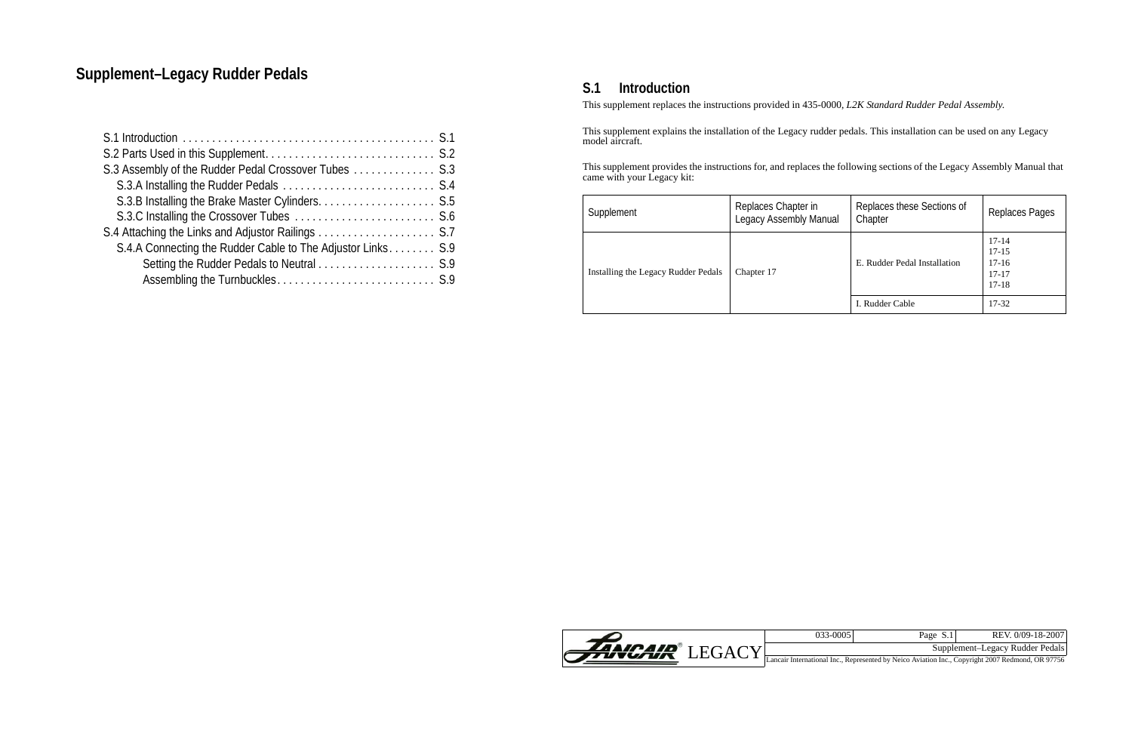

| 033-00051 | Page S.1 | REV. 0/09-18-20071              |
|-----------|----------|---------------------------------|
|           |          | Supplement-Legacy Rudder Pedals |
|           |          |                                 |

<span id="page-0-0"></span>This supplement replaces the instructions provided in 435-0000, *L2K Standard Rudder Pedal Assembly*.

This supplement explains the installation of the Legacy rudder pedals. This installation can be used on any Legacy model aircraft.

This supplement provides the instructions for, and replaces the following sections of the Legacy Assembly Manual that came with your Legacy kit:

| Supplement                          | Replaces Chapter in<br><b>Legacy Assembly Manual</b> | Replaces these Sections of<br>Chapter | Replaces Pages                                          |
|-------------------------------------|------------------------------------------------------|---------------------------------------|---------------------------------------------------------|
| Installing the Legacy Rudder Pedals | Chapter 17                                           | E. Rudder Pedal Installation          | $17-14$<br>$17 - 15$<br>$17-16$<br>$17 - 17$<br>$17-18$ |
|                                     |                                                      | I. Rudder Cable                       | $17 - 32$                                               |

# **Supplement–Legacy Rudder Pedals Supplement–Legacy Rudder Pedals S.1 Introduction**

| S.3 Assembly of the Rudder Pedal Crossover Tubes S.3        |
|-------------------------------------------------------------|
|                                                             |
|                                                             |
|                                                             |
|                                                             |
| S.4.A Connecting the Rudder Cable to The Adjustor Links S.9 |
|                                                             |
|                                                             |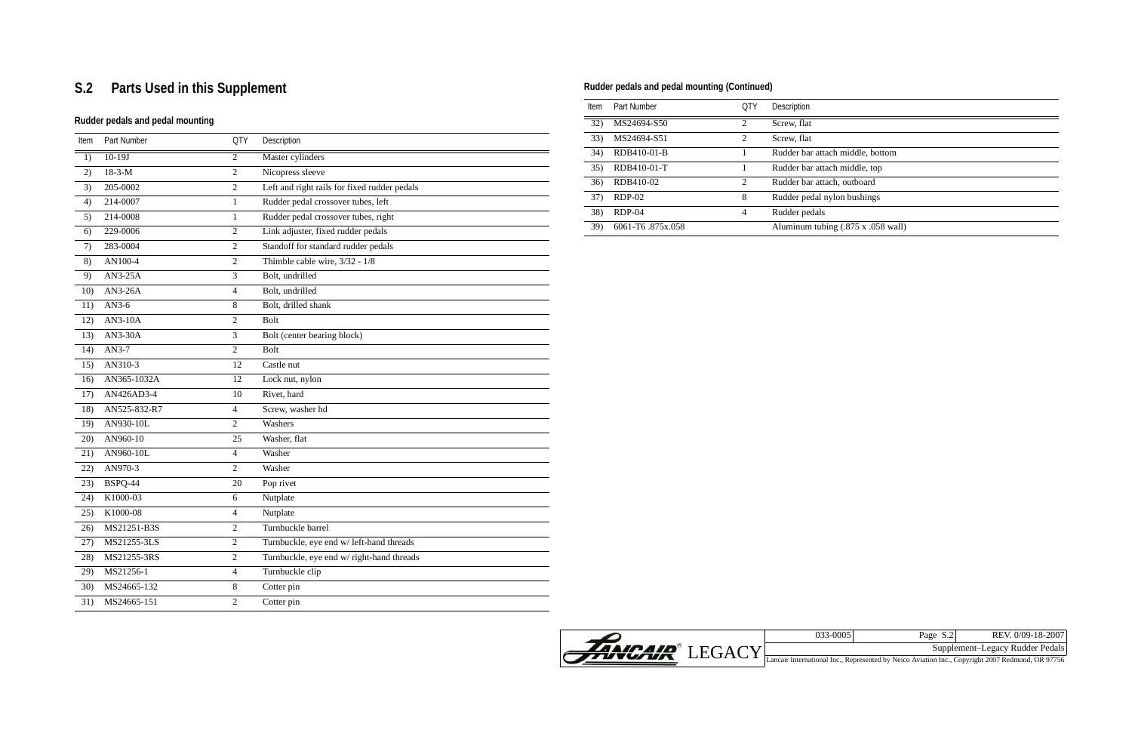

ch middle, bottom ch middle, top ch, outboard ylon bushings

 $\frac{\text{sing}}{\text{max}}$  (.875 x .058 wall)

| 033-00051 | Page S.2 | REV. 0/09-18-2007               |
|-----------|----------|---------------------------------|
|           |          | Supplement-Legacy Rudder Pedals |

Lancair International Inc., Represented by Neico Aviation Inc., Copyright 2007 Redmond, OR 97756

# <span id="page-1-0"></span>**S.2 Parts Used in this Supplement**

# **Rudder pedals and pedal mounting**

| $\overline{1}$<br>2) | $10-19J$<br>$18 - 3 - M$ | $\overline{2}$ | Master cylinders                             |
|----------------------|--------------------------|----------------|----------------------------------------------|
|                      |                          |                |                                              |
|                      |                          | $\overline{2}$ | Nicopress sleeve                             |
| 3)                   | 205-0002                 | $\overline{2}$ | Left and right rails for fixed rudder pedals |
| 4)                   | 214-0007                 | $\mathbf{1}$   | Rudder pedal crossover tubes, left           |
| 5)                   | 214-0008                 | $\mathbf{1}$   | Rudder pedal crossover tubes, right          |
| 6)                   | 229-0006                 | $\overline{2}$ | Link adjuster, fixed rudder pedals           |
| 7)                   | 283-0004                 | $\overline{2}$ | Standoff for standard rudder pedals          |
| 8)                   | AN100-4                  | $\overline{2}$ | Thimble cable wire, 3/32 - 1/8               |
| 9)                   | AN3-25A                  | 3              | Bolt, undrilled                              |
| 10)                  | $AN3-26A$                | $\overline{4}$ | Bolt, undrilled                              |
| 11)                  | $AN3-6$                  | $\,8\,$        | Bolt, drilled shank                          |
| 12)                  | $AN3-10A$                | $\overline{2}$ | <b>Bolt</b>                                  |
| 13)                  | AN3-30A                  | 3              | Bolt (center bearing block)                  |
| 14)                  | AN3-7                    | $\overline{2}$ | <b>Bolt</b>                                  |
| 15)                  | AN310-3                  | 12             | Castle nut                                   |
| 16)                  | AN365-1032A              | 12             | Lock nut, nylon                              |
| 17)                  | AN426AD3-4               | 10             | Rivet, hard                                  |
| 18)                  | AN525-832-R7             | $\overline{4}$ | Screw, washer hd                             |
| 19)                  | AN930-10L                | $\overline{2}$ | Washers                                      |
| 20)                  | AN960-10                 | 25             | Washer, flat                                 |
| 21)                  | AN960- $10L$             | $\overline{4}$ | Washer                                       |
| 22)                  | AN970-3                  | $\overline{2}$ | Washer                                       |
| 23)                  | <b>BSPQ-44</b>           | 20             | Pop rivet                                    |
| 24)                  | K1000-03                 | 6              | Nutplate                                     |
| 25)                  | K1000-08                 | $\overline{4}$ | Nutplate                                     |
| 26)                  | MS21251-B3S              | $\overline{2}$ | Turnbuckle barrel                            |
| 27)                  | MS21255-3LS              | $\overline{2}$ | Turnbuckle, eye end w/ left-hand threads     |
| 28)                  | MS21255-3RS              | $\overline{2}$ | Turnbuckle, eye end w/ right-hand threads    |
| 29)                  | MS21256-1                | $\overline{4}$ | Turnbuckle clip                              |
| 30)                  | MS24665-132              | $\,8\,$        | Cotter pin                                   |
| 31)                  | MS24665-151              | $\overline{2}$ | Cotter pin                                   |

| Item | Part Number      | <b>QTY</b>     | Description      |
|------|------------------|----------------|------------------|
| 32)  | MS24694-S50      | $\mathfrak{D}$ | Screw, flat      |
| 33)  | MS24694-S51      | $\overline{c}$ | Screw, flat      |
| 34)  | RDB410-01-B      | 1              | Rudder bar attac |
| 35)  | RDB410-01-T      | 1              | Rudder bar attac |
| 36)  | RDB410-02        | 2              | Rudder bar attac |
| 37)  | $RDP-02$         | 8              | Rudder pedal ny  |
| 38)  | $RDP-04$         | 4              | Rudder pedals    |
| 39)  | 6061-T6.875x.058 |                | Aluminum tubir   |

# **Rudder pedals and pedal mounting (Continued)**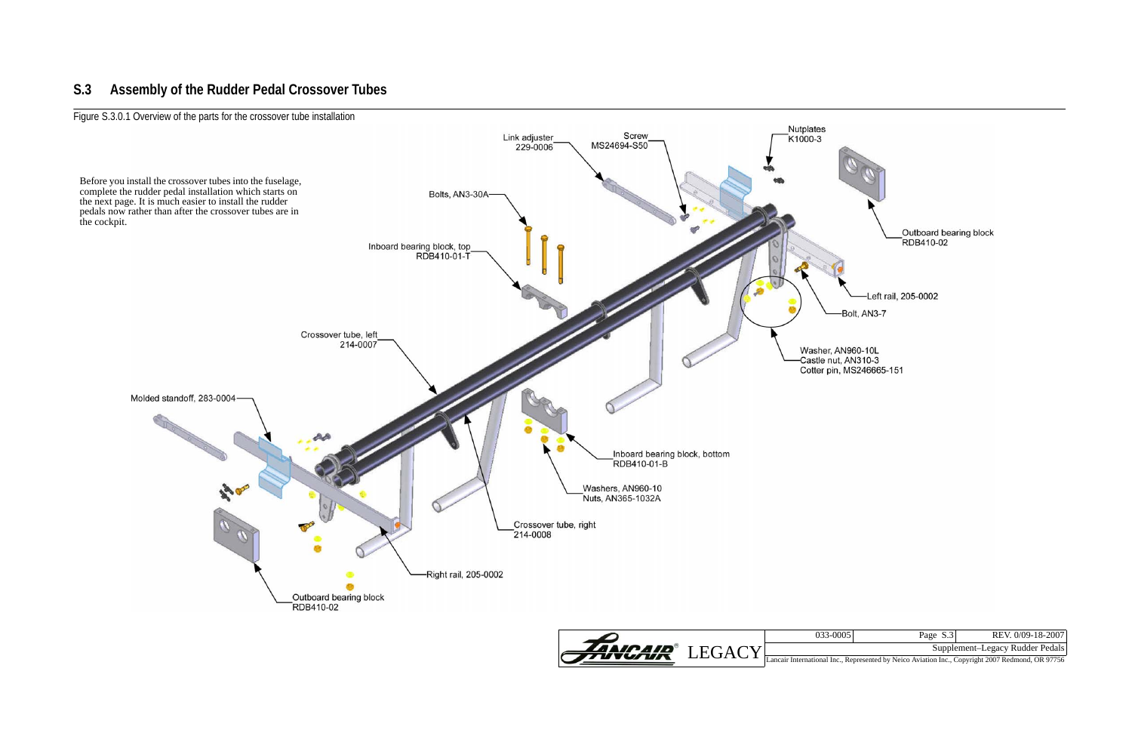

| 033-0005 | Page S.3 | REV. 0/09-18-2007               |  |
|----------|----------|---------------------------------|--|
|          |          | Supplement-Legacy Rudder Pedals |  |

# <span id="page-2-0"></span>**S.3 Assembly of the Rudder Pedal Crossover Tubes**

Figure S.3.0.1 Overview of the parts for the crossover tube installation

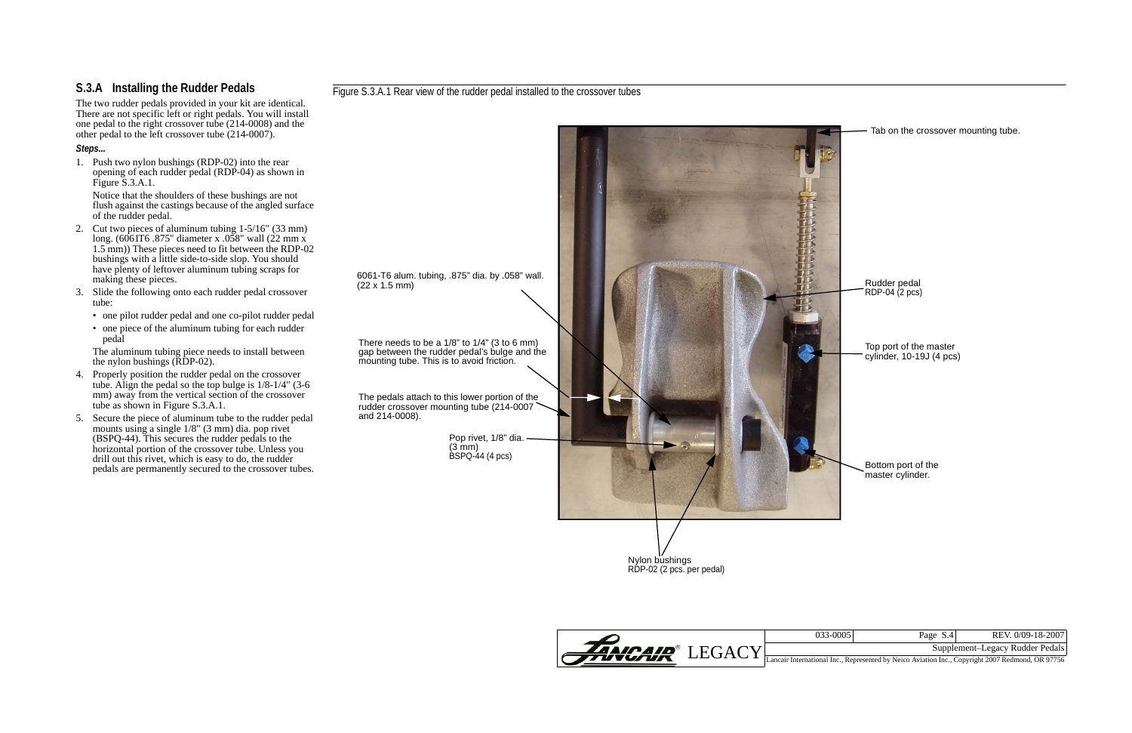

| 033-0005 | Page S.4 | REV. 0/09-18-2007               |
|----------|----------|---------------------------------|
|          |          | Supplement-Legacy Rudder Pedals |

# <span id="page-3-0"></span>**S.3.A Installing the Rudder Pedals**

The two rudder pedals provided in your kit are identical. There are not specific left or right pedals. You will install one pedal to the right crossover tube (214-0008) and the other pedal to the left crossover tube (214-0007).

#### *Steps...*

1. Push two nylon bushings (RDP-02) into the rear opening of each rudder pedal (RDP-04) as shown in [Figure S.3.A.1.](#page-3-1)

The aluminum tubing piece needs to install between the nylon bushings  $(\overline{R}\overline{D}P-02)$ .

Notice that the shoulders of these bushings are not flush against the castings because of the angled surface of the rudder pedal.

> Nylon bushings RDP-02 (2 pcs. per pedal)

- 2. Cut two pieces of aluminum tubing 1-5/16" (33 mm) long. (6061T6 .875" diameter x .058" wall (22 mm x 1.5 mm)) These pieces need to fit between the RDP-02 bushings with a little side-to-side slop. You should have plenty of leftover aluminum tubing scraps for making these pieces.
- 3. Slide the following onto each rudder pedal crossover tube:
	- one pilot rudder pedal and one co-pilot rudder pedal
	- one piece of the aluminum tubing for each rudder pedal

Pop rivet, 1/8" dia. (3 mm) BSPQ-44 (4 pcs)

There needs to be a 1/8" to 1/4" (3 to 6 mm) gap between the rudder pedal's bulge and the mounting tube. This is to avoid friction.

- 4. Properly position the rudder pedal on the crossover tube. Align the pedal so the top bulge is  $1/8-1/4$ " (3-6 mm) away from the vertical section of the crossover tube as shown in [Figure S.3.A.1](#page-3-1).
- 5. Secure the piece of aluminum tube to the rudder pedal mounts using a single 1/8" (3 mm) dia. pop rivet (BSPQ-44). This secures the rudder pedals to the horizontal portion of the crossover tube. Unless you drill out this rivet, which is easy to do, the rudder pedals are permanently secured to the crossover tubes.

<span id="page-3-1"></span>Figure S.3.A.1 Rear view of the rudder pedal installed to the crossover tubes

6061-T6 alum. tubing, .875" dia. by .058" wall. (22 x 1.5 mm)



The pedals attach to this lower portion of the rudder crossover mounting tube (214-0007 and 214-0008).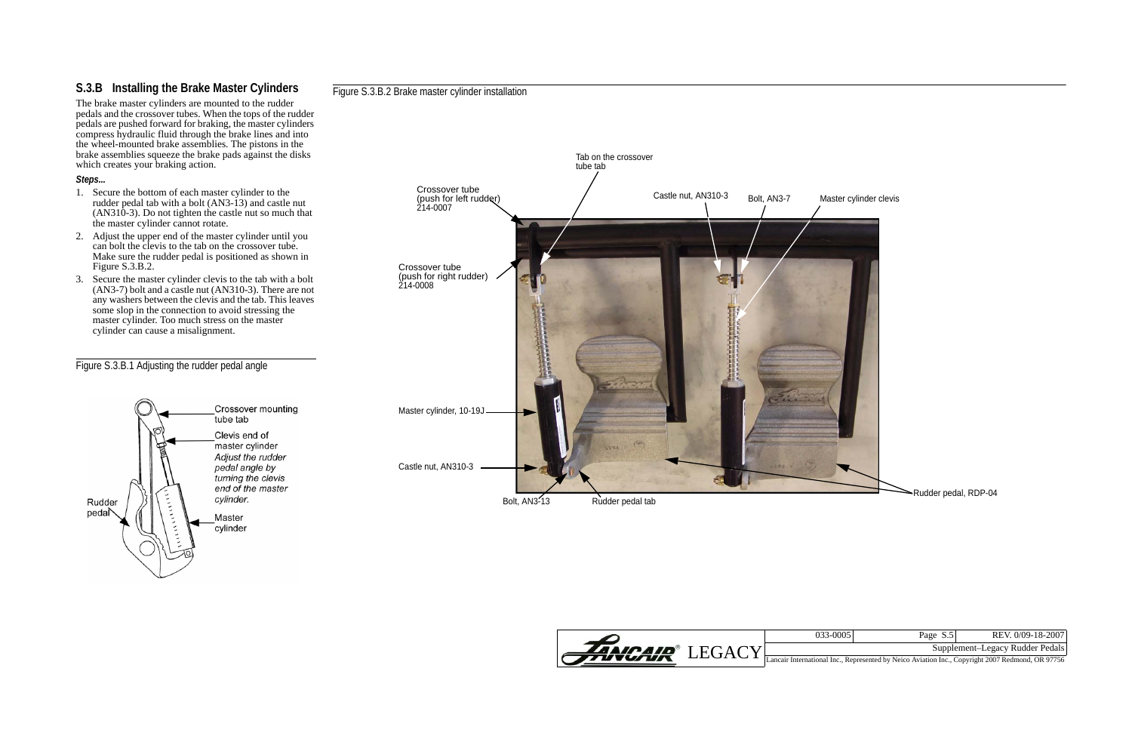

| 033-0005 | Page S.5 | REV. 0/09-18-2007               |
|----------|----------|---------------------------------|
|          |          | Supplement-Legacy Rudder Pedals |

# <span id="page-4-0"></span>**S.3.B Installing the Brake Master Cylinders**

The brake master cylinders are mounted to the rudder pedals and the crossover tubes. When the tops of the rudder pedals are pushed forward for braking, the master cylinders compress hydraulic fluid through the brake lines and into the wheel-mounted brake assemblies. The pistons in the brake assemblies squeeze the brake pads against the disks which creates your braking action.

#### *Steps...*

- 1. Secure the bottom of each master cylinder to the rudder pedal tab with a bolt (AN3-13) and castle nut  $(AN310-3)$ . Do not tighten the castle nut so much that the master cylinder cannot rotate.
- 2. Adjust the upper end of the master cylinder until you can bolt the clevis to the tab on the crossover tube. Make sure the rudder pedal is positioned as shown in [Figure S.3.B.2](#page-4-1).
- 3. Secure the master cylinder clevis to the tab with a bolt (AN3-7) bolt and a castle nut (AN310-3). There are not any washers between the clevis and the tab. This leaves some slop in the connection to avoid stressing the master cylinder. Too much stress on the master cylinder can cause a misalignment.

## Figure S.3.B.1 Adjusting the rudder pedal angle



#### <span id="page-4-1"></span>Figure S.3.B.2 Brake master cylinder installation

Bolt, AN3-13 Rudder pedal tab

# Tab on the crossover tube tab Crossover tube Castle nut, AN310-3 Bolt, AN3-7 Master cylinder clevis (push for left rudder) 214-0007 Crossover tube (push for right rudder) 214-0008 Master cylinder, 10-19J

Castle nut, AN310-3



Rudder pedal, RDP-04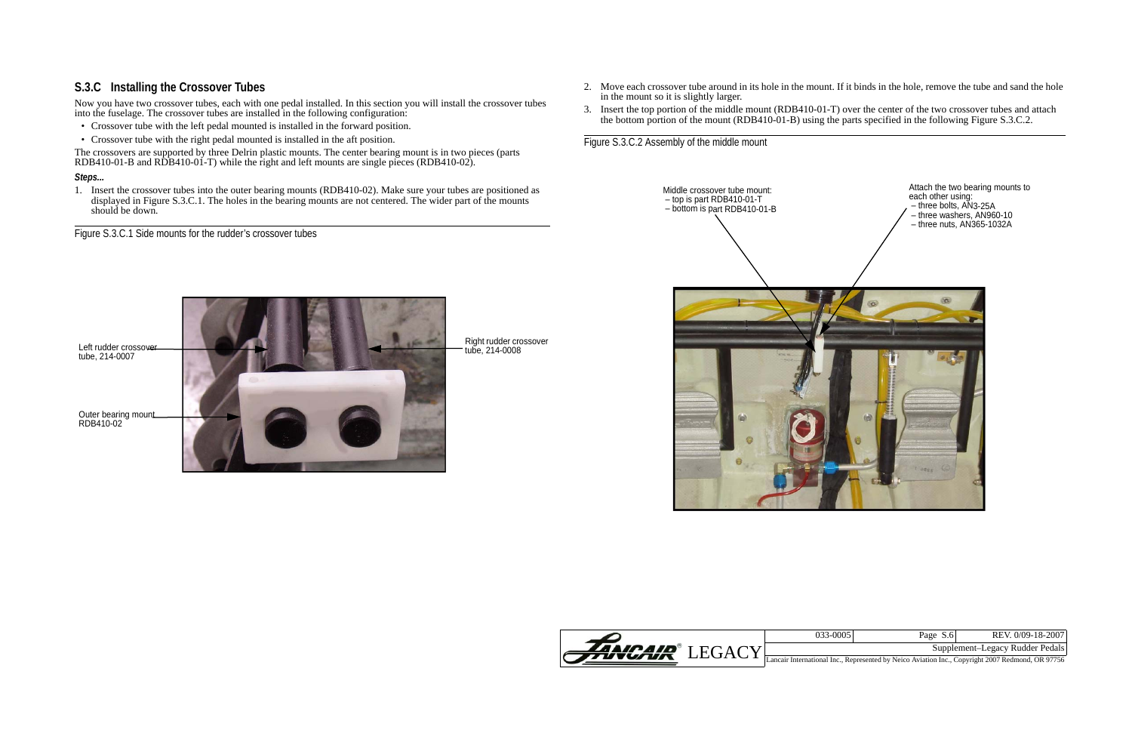

| 033-0005 | Page S.6 | REV. 0/09-18-2007                                                               |
|----------|----------|---------------------------------------------------------------------------------|
|          |          | Supplement-Legacy Rudder Pedals                                                 |
|          |          | anal Ing. Depresented by Naige, Aviotion Ing. Convuisht 2007 Dedmond. OD 07756. |

# <span id="page-5-0"></span>**S.3.C Installing the Crossover Tubes**

The crossovers are supported by three Delrin plastic mounts. The center bearing mount is in two pieces (parts RDB410-01-B and RDB410-01-T) while the right and left mounts are single pieces (RDB410-02).

Now you have two crossover tubes, each with one pedal installed. In this section you will install the crossover tubes into the fuselage. The crossover tubes are installed in the following configuration:

1. Insert the crossover tubes into the outer bearing mounts (RDB410-02). Make sure your tubes are positioned as displayed in Figure S.3.C.1. The holes in the bearing mounts are not centered. The wider part of the mounts should be down.

- Crossover tube with the left pedal mounted is installed in the forward position.
- Crossover tube with the right pedal mounted is installed in the aft position.

#### *Steps...*

Figure S.3.C.1 Side mounts for the rudder's crossover tubes

Outer bearing mount RDB410-02 Left rudder crossover tube, 214-0007

Right rudder crossover tube, 214-0008

2. Move each crossover tube around in its hole in the mount. If it binds in the hole, remove the tube and sand the hole

- in the mount so it is slightly larger.
- 3. Insert the top portion of the middle mount (RDB410-01-T) over the center of the two crossover tubes and attach the bottom portion of the mount (RDB410-01-B) using the parts specified in the following [Figure S.3.C.2](#page-5-1).

<span id="page-5-1"></span>Figure S.3.C.2 Assembly of the middle mount

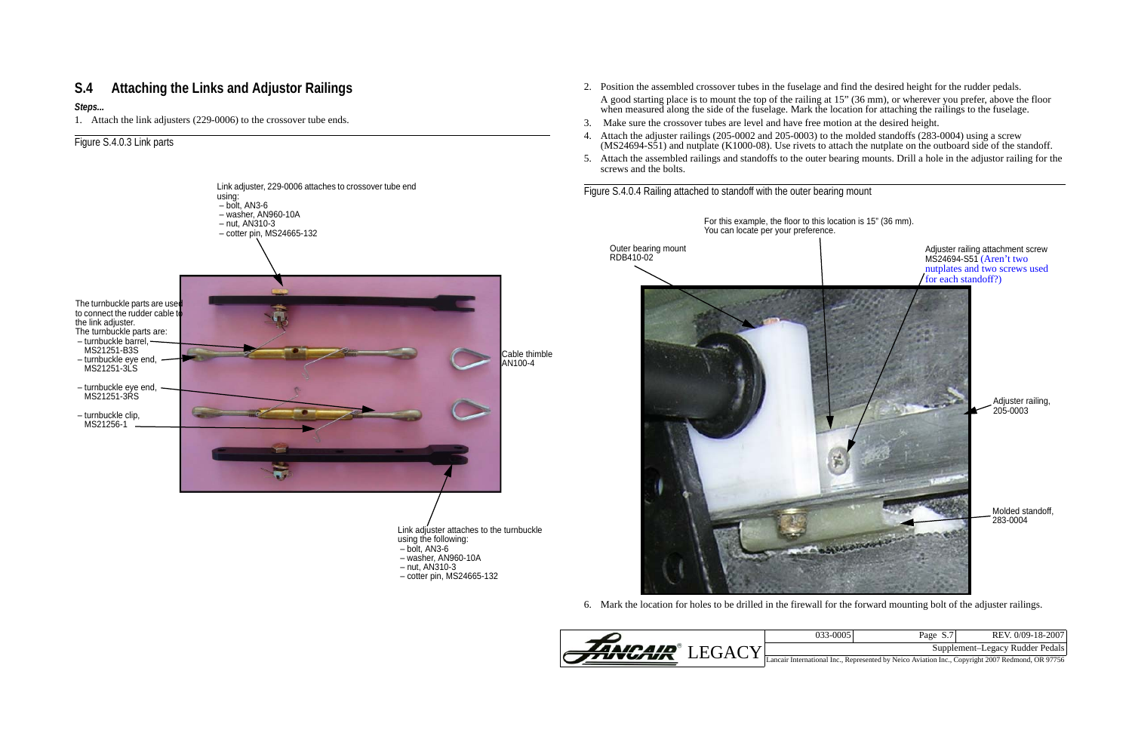

| $033 - 0005$ | Page S.7 | REV. 0/09-18-2007                                                                                |
|--------------|----------|--------------------------------------------------------------------------------------------------|
|              |          |                                                                                                  |
|              |          | Supplement-Legacy Rudder Pedals                                                                  |
|              |          | Lancair International Inc., Represented by Neico Aviation Inc., Copyright 2007 Redmond, OR 97756 |

# <span id="page-6-0"></span>**S.4 Attaching the Links and Adjustor Railings**

#### *Steps...*

1. Attach the link adjusters (229-0006) to the crossover tube ends.

### Figure S.4.0.3 Link parts

2. Position the assembled crossover tubes in the fuselage and find the desired height for the rudder pedals. A good starting place is to mount the top of the railing at 15" (36 mm), or wherever you prefer, above the floor when measured along the side of the fuselage. Mark the location for attaching the railings to the fuselage. 3. Make sure the crossover tubes are level and have free motion at the desired height. 4. Attach the adjuster railings (205-0002 and 205-0003) to the molded standoffs (283-0004) using a screw



(MS24694-S51) and nutplate (K1000-08). Use rivets to attach the nutplate on the outboard side of the standoff. 5. Attach the assembled railings and standoffs to the outer bearing mounts. Drill a hole in the adjustor railing for the

6. Mark the location for holes to be drilled in the firewall for the forward mounting bolt of the adjuster railings.

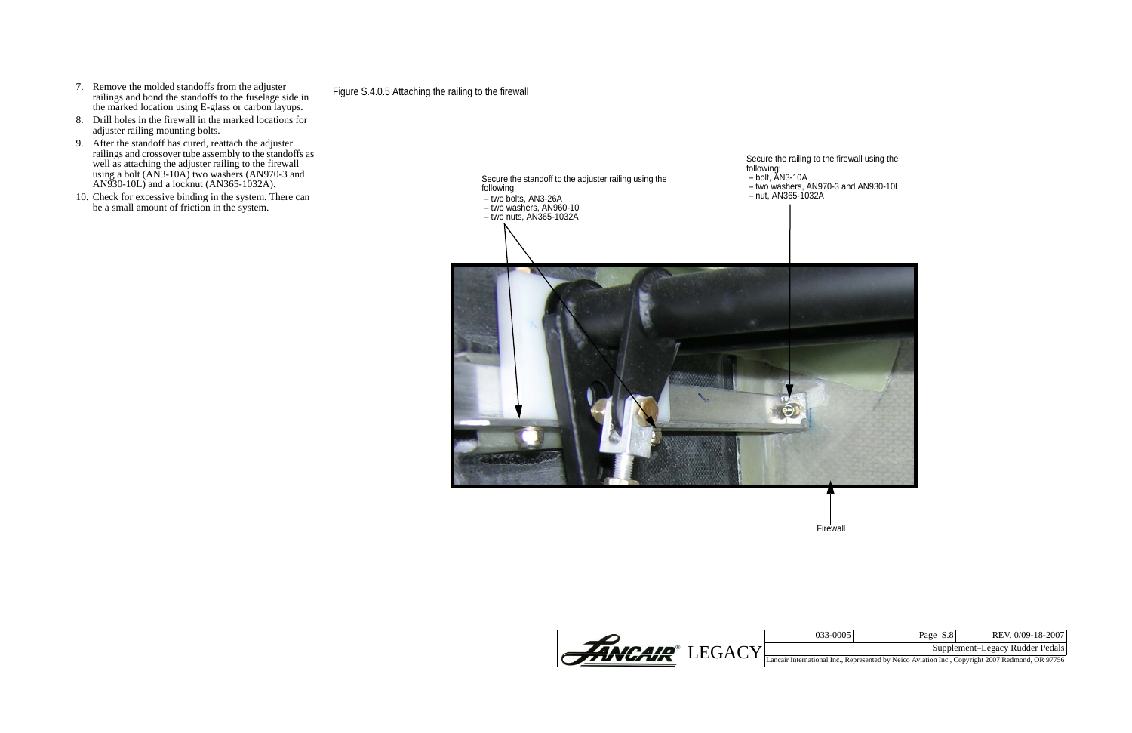| 033-0005 | Page S.8 | REV. 0/09-18-2007                                                               |
|----------|----------|---------------------------------------------------------------------------------|
|          |          | Supplement-Legacy Rudder Pedals                                                 |
|          |          | onal Inc., Represented by Neico Aviation Inc., Copyright 2007 Redmond, OR 97756 |





- 7. Remove the molded standoffs from the adjuster railings and bond the standoffs to the fuselage side in the marked location using E-glass or carbon layups.
- 8. Drill holes in the firewall in the marked locations for adjuster railing mounting bolts.
- 9. After the standoff has cured, reattach the adjuster railings and crossover tube assembly to the standoffs as well as attaching the adjuster railing to the firewall using a bolt (AN3-10A) two washers (AN970-3 and AN930-10L) and a locknut (AN365-1032A).
- 10. Check for excessive binding in the system. There can be a small amount of friction in the system.

Figure S.4.0.5 Attaching the railing to the firewall

Firewall

Secure the railing to the firewall using the following: – bolt, AN3-10A – two washers, AN970-3 and AN930-10L – nut, AN365-1032A Secure the standoff to the adjuster railing using the following: – two bolts, AN3-26A – two washers, AN960-10 – two nuts, AN365-1032A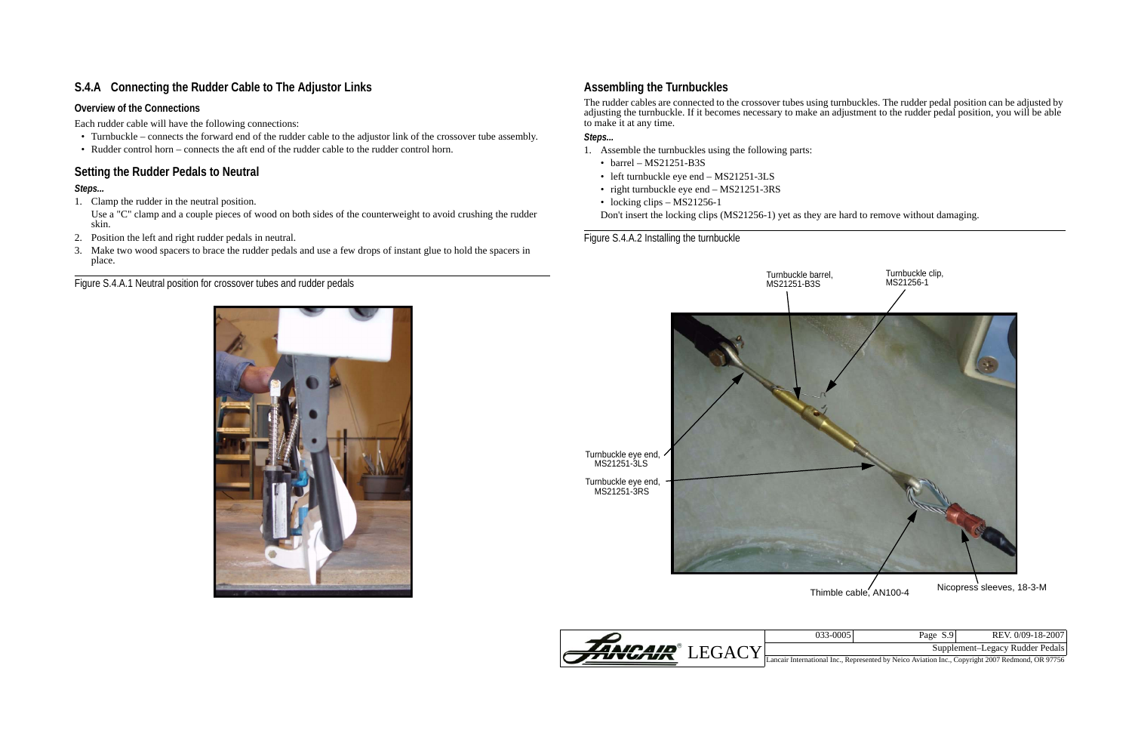

| 033-0005 | Page S.9 | REV. 0/09-18-2007                                                                 |
|----------|----------|-----------------------------------------------------------------------------------|
|          |          | Supplement-Legacy Rudder Pedals                                                   |
|          |          | $1.111$ Decreased to Material Activities Transformation (2007 Deducated OD 07756) |

- Turnbuckle connects the forward end of the rudder cable to the adjustor link of the crossover tube assembly.
- Rudder control horn connects the aft end of the rudder cable to the rudder control horn.

# <span id="page-8-1"></span>**S.4.A Connecting the Rudder Cable to The Adjustor Links**

# **Overview of the Connections**

Each rudder cable will have the following connections:

# <span id="page-8-0"></span>**Setting the Rudder Pedals to Neutral**

# *Steps...*

1. Clamp the rudder in the neutral position.

- 1. Assemble the turnbuckles using the following parts:
	- barrel  $MS21251-B3S$
	- left turnbuckle eye end MS21251-3LS
	- right turnbuckle eye end MS21251-3RS
	- locking clips MS21256-1

Use a "C" clamp and a couple pieces of wood on both sides of the counterweight to avoid crushing the rudder skin.

- 2. Position the left and right rudder pedals in neutral.
- 3. Make two wood spacers to brace the rudder pedals and use a few drops of instant glue to hold the spacers in place.

Figure S.4.A.1 Neutral position for crossover tubes and rudder pedals



# <span id="page-8-2"></span>**Assembling the Turnbuckles**

The rudder cables are connected to the crossover tubes using turnbuckles. The rudder pedal position can be adjusted by adjusting the turnbuckle. If it becomes necessary to make an adjustment to the rudder pedal position, you will be able to make it at any time.

### *Steps...*

Don't insert the locking clips (MS21256-1) yet as they are hard to remove without damaging.

Figure S.4.A.2 Installing the turnbuckle

Turnbuckle eye end, MS21251-3LS

Turnbuckle eye end, MS21251-3RS

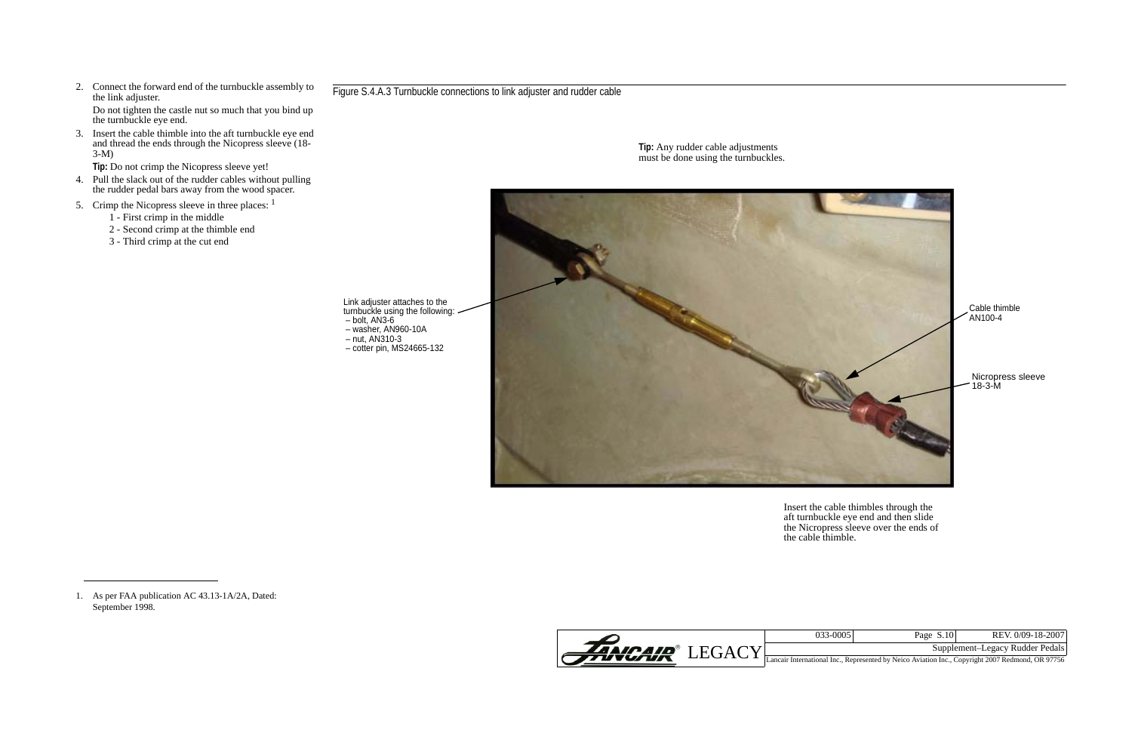

| 033-0005 | Page $S.10$ | REV. 0/09-18-2007               |
|----------|-------------|---------------------------------|
|          |             | Supplement-Legacy Rudder Pedals |

3. Insert the cable thimble into the aft turnbuckle eye end and thread the ends through the Nicopress sleeve (18-  $3-M$ 

2. Connect the forward end of the turnbuckle assembly to the link adjuster.

Do not tighten the castle nut so much that you bind up the turnbuckle eye end.

**Tip:** Do not crimp the Nicopress sleeve yet!

- 4. Pull the slack out of the rudder cables without pulling the rudder pedal bars away from the wood spacer.
- 5. Crimp the Nicopress sleeve in three places: <sup>1</sup>
	- 1 First crimp in the middle
	- 2 Second crimp at the thimble end
	- 3 Third crimp at the cut end

1. As per FAA publication AC 43.13-1A/2A, Dated: September 1998.

### Figure S.4.A.3 Turnbuckle connections to link adjuster and rudder cable

Link adjuster attaches to the turnbuckle using the following: – bolt, AN3-6 – washer, AN960-10A

- nut, AN310-3
- cotter pin, MS24665-132



Insert the cable thimbles through the aft turnbuckle eye end and then slide the Nicropress sleeve over the ends of the cable thimble.

**Tip:** Any rudder cable adjustments must be done using the turnbuckles.